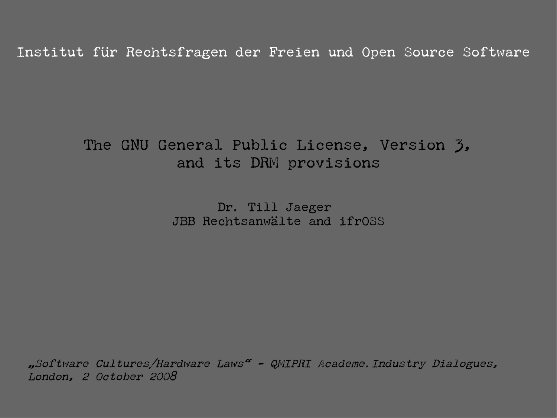Institut für Rechtsfragen der Freien und Open Source Software

## The GNU General Public License, Version 3, and its DRM provisions

Dr. Till Jaeger JBB Rechtsanwälte and ifrOSS

"Software Cultures/Hardware Laws" - QMIPRI Academe.Industry Dialogues, London, 2 October 2008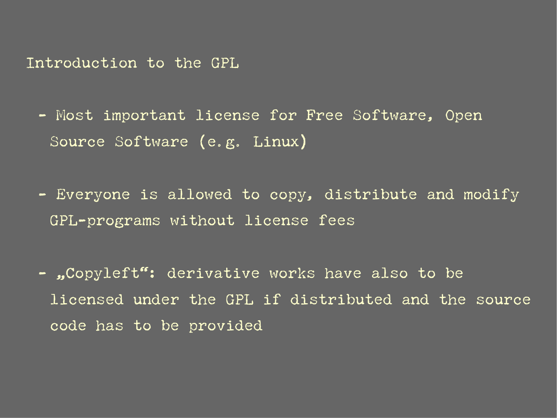Introduction to the GPL

- Most important license for Free Software, Open Source Software (e.g. Linux)
- Everyone is allowed to copy, distribute and modify GPL-programs without license fees
- "Copyleft": derivative works have also to be licensed under the GPL if distributed and the source code has to be provided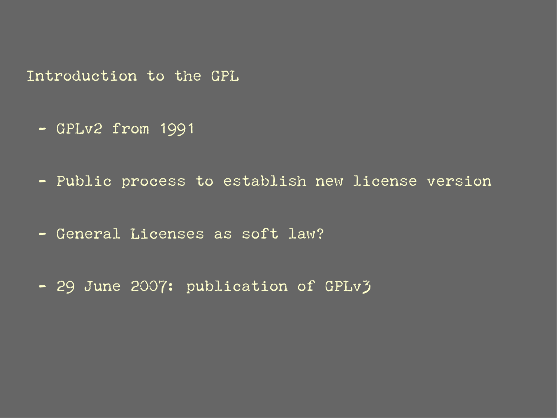Introduction to the GPL

- GPLv2 from 1991
- Public process to establish new license version
- General Licenses as soft law?
- 29 June 2007: publication of GPLv3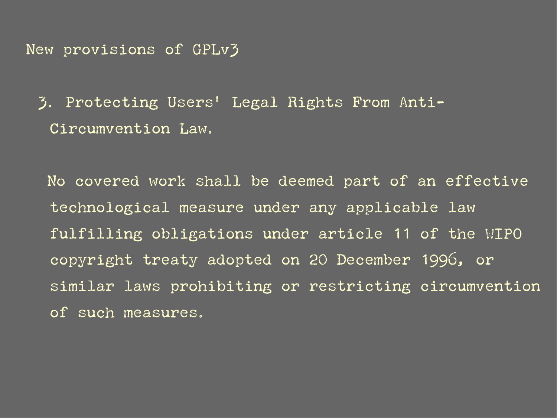New provisions of GPLv3

3. Protecting Users' Legal Rights From Anti-Circumvention Law.

No covered work shall be deemed part of an effective technological measure under any applicable law fulfilling obligations under article 11 of the WIPO copyright treaty adopted on 20 December 1996, or similar laws prohibiting or restricting circumvention of such measures.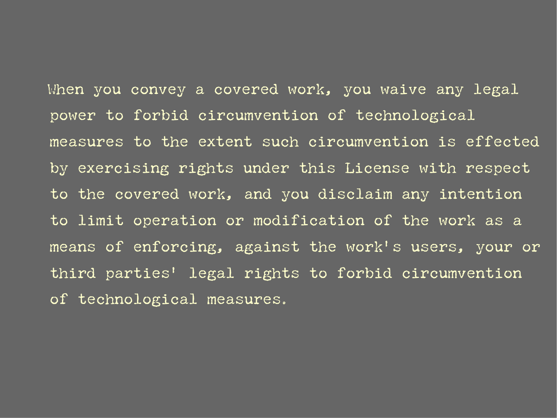When you convey a covered work, you waive any legal power to forbid circumvention of technological measures to the extent such circumvention is effected by exercising rights under this License with respect to the covered work, and you disclaim any intention to limit operation or modification of the work as a means of enforcing, against the work's users, your or third parties' legal rights to forbid circumvention of technological measures.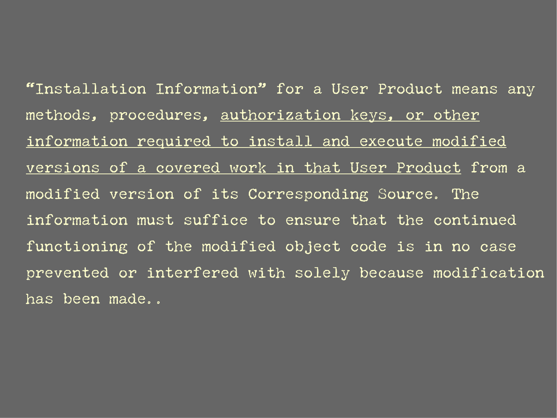"Installation Information" for a User Product means any methods, procedures, authorization keys, or other information required to install and execute modified versions of a covered work in that User Product from a modified version of its Corresponding Source. The information must suffice to ensure that the continued functioning of the modified object code is in no case prevented or interfered with solely because modification has been made..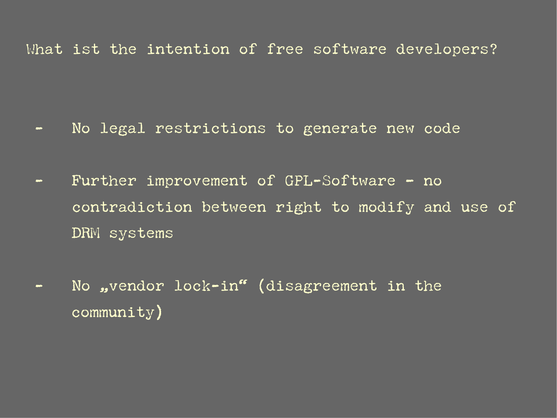## What ist the intention of free software developers?

- No legal restrictions to generate new code
- Further improvement of GPL-Software no contradiction between right to modify and use of DRM systems
- No ,vendor lock-in" (disagreement in the community)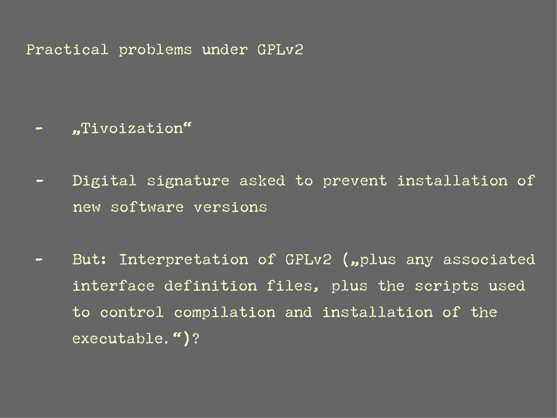Practical problems under GPLv2

- "Tivoization"

- Digital signature asked to prevent installation of new software versions
- But: Interpretation of GPLv2 ("plus any associated interface definition files, plus the scripts used to control compilation and installation of the executable.")?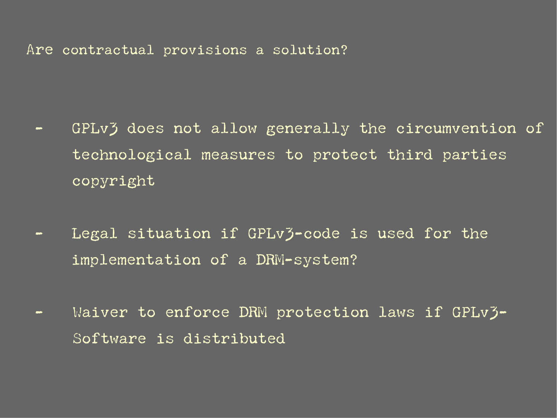Are contractual provisions a solution?

- GPLv3 does not allow generally the circumvention of technological measures to protect third parties copyright
- Legal situation if GPLv3-code is used for the implementation of a DRM-system?
- Waiver to enforce DRM protection laws if GPLv3-Software is distributed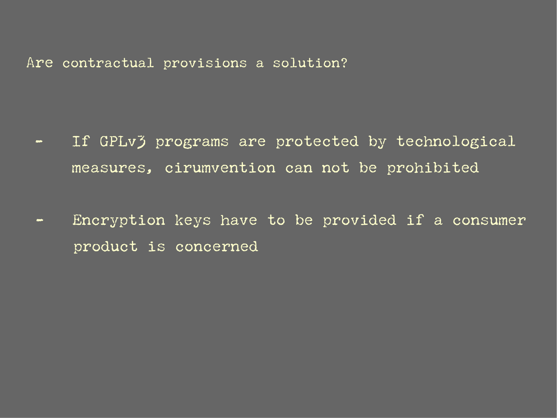Are contractual provisions a solution?

- If GPLv3 programs are protected by technological measures, cirumvention can not be prohibited
- Encryption keys have to be provided if a consumer product is concerned